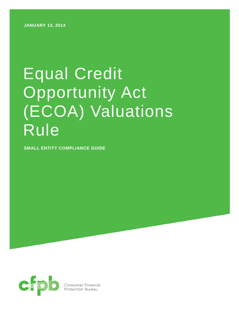# Equal Credit Opportunity Act (ECOA) Valuations Rule

**SMALL ENTITY COMPLIANCE GUIDE**



**Consumer Financial**<br>Protection Bureau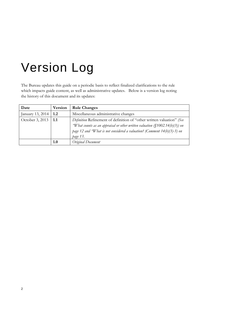## <span id="page-1-0"></span>Version Log

The Bureau updates this guide on a periodic basis to reflect finalized clarifications to the rule which impacts guide content, as well as administrative updates. Below is a version log noting the history of this document and its updates:

| Date             | <b>Version</b> | <b>Rule Changes</b>                                                                                                                                                                                                                          |
|------------------|----------------|----------------------------------------------------------------------------------------------------------------------------------------------------------------------------------------------------------------------------------------------|
| January 13, 2014 | 1.2            | Miscellaneous administrative changes                                                                                                                                                                                                         |
| October 3, 2013  | 1.1            | Definition Refinement of definition of "other written valuation" (See<br>"What counts as an appraisal or other written valuation (§1002.14(b)(3)) on<br>page 12 and "What is not considered a valuation? (Comment 14(b)(3)-3) on<br>page 13. |
|                  | 1.0            | Original Document                                                                                                                                                                                                                            |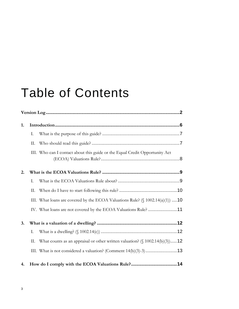## Table of Contents

| 1. |     |                                                                                   |  |
|----|-----|-----------------------------------------------------------------------------------|--|
|    | Ι.  |                                                                                   |  |
|    | Π.  |                                                                                   |  |
|    |     | III. Who can I contact about this guide or the Equal Credit Opportunity Act       |  |
| 2. |     |                                                                                   |  |
|    | I.  |                                                                                   |  |
|    | II. |                                                                                   |  |
|    |     | III. What loans are covered by the ECOA Valuations Rule? ( $\{(1002.14(a)(1))$ 10 |  |
|    |     | IV. What loans are not covered by the ECOA Valuations Rule? 11                    |  |
| 3. |     |                                                                                   |  |
|    | I.  |                                                                                   |  |
|    | П.  | What counts as an appraisal or other written valuation? $(\S 1002.14(b)(3))12$    |  |
|    |     |                                                                                   |  |
| 4. |     | How do I comply with the ECOA Valuations Rule?14                                  |  |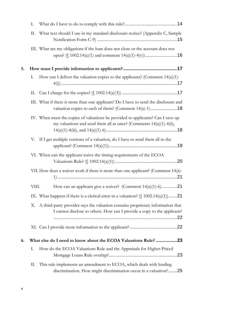|    | I.    |                                                                                                                                                            |
|----|-------|------------------------------------------------------------------------------------------------------------------------------------------------------------|
|    | П.    | What text should I use in my standard disclosure notice? (Appendix C, Sample                                                                               |
|    |       | III. What are my obligations if the loan does not close or the account does not                                                                            |
| 5. |       |                                                                                                                                                            |
|    | Ι.    | How can I deliver the valuation copies to the applicants? (Comment $14(a)(1)$ -                                                                            |
|    | П.    |                                                                                                                                                            |
|    |       | III. What if there is more than one applicant? Do I have to send the disclosure and                                                                        |
|    |       | IV. When must the copies of valuations be provided to applicants? Can I save up<br>my valuations and send them all at once? (Comments $14(a)(1) - 4(ii)$ , |
|    | V.    | If I get multiple versions of a valuation, do I have to send them all to the                                                                               |
|    |       | VI. When can the applicant waive the timing requirements of the ECOA                                                                                       |
|    |       | VII. How does a waiver work if there is more than one applicant? (Comment 14(a)-                                                                           |
|    | VIII. | How can an applicant give a waiver? (Comment 14(a)(1)-6)21                                                                                                 |
|    |       | IX. What happens if there is a clerical error in a valuation? $(\frac{1002.14(a)(1))}{}$ .                                                                 |
|    | Χ.    | A third-party provider says the valuation contains proprietary information that<br>I cannot disclose to others. How can I provide a copy to the applicant? |
|    |       |                                                                                                                                                            |
| 6. |       | What else do I need to know about the ECOA Valuations Rule? 23                                                                                             |
|    | Ι.    | How do the ECOA Valuations Rule and the Appraisals for Higher-Priced                                                                                       |
|    | П.    | This rule implements an amendment to ECOA, which deals with lending<br>discrimination. How might discrimination occur in a valuation?25                    |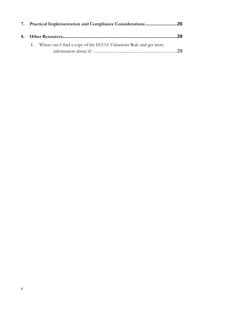|  | 7. Practical Implementation and Compliance Considerations 26        |    |
|--|---------------------------------------------------------------------|----|
|  |                                                                     |    |
|  | I. Where can I find a copy of the ECOA Valuations Rule and get more |    |
|  |                                                                     | 29 |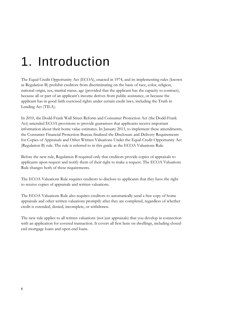## <span id="page-5-0"></span>1. Introduction

The Equal Credit Opportunity Act (ECOA), enacted in 1974, and its implementing rules (known as Regulation B) prohibit creditors from discriminating on the basis of race, color, religion, national origin, sex, marital status, age (provided that the applicant has the capacity to contract), because all or part of an applicant's income derives from public assistance, or because the applicant has in good faith exercised rights under certain credit laws, including the Truth in Lending Act (TILA).

In 2010, the Dodd-Frank Wall Street Reform and Consumer Protection Act (the Dodd-Frank Act) amended ECOA provisions to provide guarantees that applicants receive important information about their home value estimates. In January 2013, to implement these amendments, the Consumer Financial Protection Bureau finalized the Disclosure and Delivery Requirements for Copies of Appraisals and Other Written Valuations Under the Equal Credit Opportunity Act (Regulation B) rule. The rule is referred to in this guide as the ECOA Valuations Rule.

Before the new rule, Regulation B required only that creditors provide copies of appraisals to applicants upon request and notify them of their right to make a request. The ECOA Valuations Rule changes both of these requirements.

The ECOA Valuations Rule requires creditors to disclose to applicants that they have the right to receive copies of appraisals and written valuations.

The ECOA Valuations Rule also requires creditors to automatically send a free copy of home appraisals and other written valuations promptly after they are completed, regardless of whether credit is extended, denied, incomplete, or withdrawn.

The new rule applies to all written valuations (not just appraisals) that you develop in connection with an application for covered transaction. It covers all first liens on dwellings, including closedend mortgage loans and open-end loans.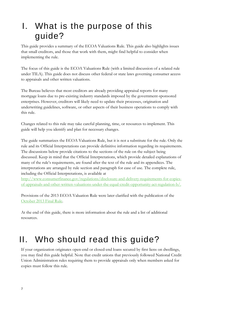### <span id="page-6-0"></span>I. What is the purpose of this guide?

This guide provides a summary of the ECOA Valuations Rule. This guide also highlights issues that small creditors, and those that work with them, might find helpful to consider when implementing the rule.

The focus of this guide is the ECOA Valuations Rule (with a limited discussion of a related rule under TILA). This guide does not discuss other federal or state laws governing consumer access to appraisals and other written valuations.

The Bureau believes that most creditors are already providing appraisal reports for many mortgage loans due to pre-existing industry standards imposed by the government-sponsored enterprises. However, creditors will likely need to update their processes, origination and underwriting guidelines, software, or other aspects of their business operations to comply with this rule.

Changes related to this rule may take careful planning, time, or resources to implement. This guide will help you identify and plan for necessary changes.

The guide summarizes the ECOA Valuations Rule, but it is not a substitute for the rule. Only the rule and its Official Interpretations can provide definitive information regarding its requirements. The discussions below provide citations to the sections of the rule on the subject being discussed. Keep in mind that the Official Interpretations, which provide detailed explanations of many of the rule's requirements, are found after the text of the rule and its appendices. The interpretations are arranged by rule section and paragraph for ease of use. The complete rule, including the Official Interpretations, is available at

[http://www.consumerfinance.gov/regulations/disclosure-and-delivery-requirements-for-copies](http://www.consumerfinance.gov/regulations/disclosure-and-delivery-requirements-for-copies-of-appraisals-and-other-written-valuations-under-the-equal-credit-opportunity-act-regulation-b/)[of-appraisals-and-other-written-valuations-under-the-equal-credit-opportunity-act-regulation-b/.](http://www.consumerfinance.gov/regulations/disclosure-and-delivery-requirements-for-copies-of-appraisals-and-other-written-valuations-under-the-equal-credit-opportunity-act-regulation-b/)

Provisions of the 2013 ECOA Valuation Rule were later clarified with the publication of the [October 2013 Final Rule.](https://www.federalregister.gov/articles/2013/10/01/2013-22752/equal-credit-opportunity-act-regulation-b-real-estate-settlement-procedures-act-regulation-x-and)

At the end of this guide, there is more information about the rule and a list of additional resources.

### <span id="page-6-1"></span>II. Who should read this guide?

If your organization originates open-end or closed-end loans secured by first liens on dwellings, you may find this guide helpful. Note that credit unions that previously followed National Credit Union Administration rules requiring them to provide appraisals only when members asked for copies must follow this rule.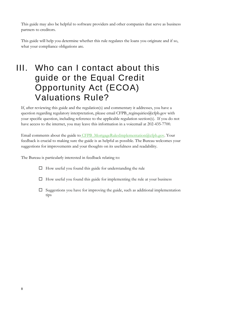This guide may also be helpful to software providers and other companies that serve as business partners to creditors.

This guide will help you determine whether this rule regulates the loans you originate and if so, what your compliance obligations are.

#### <span id="page-7-0"></span>III. Who can I contact about this guide or the Equal Credit Opportunity Act (ECOA) Valuations Rule?

If, after reviewing this guide and the regulation(s) and commentary it addresses, you have a question regarding regulatory interpretation, please email CFPB\_reginquiries@cfpb.gov with your specific question, including reference to the applicable regulation section(s). If you do not have access to the internet, you may leave this information in a voicemail at 202-435-7700.

Email comments about the guide to CFPB\_MortgageRulesImplementation@cfpb.gov. Your feedback is crucial to making sure the guide is as helpful as possible. The Bureau welcomes your suggestions for improvements and your thoughts on its usefulness and readability.

The Bureau is particularly interested in feedback relating to:

- $\Box$  How useful you found this guide for understanding the rule
- $\Box$  How useful you found this guide for implementing the rule at your business
- $\square$  Suggestions you have for improving the guide, such as additional implementation tips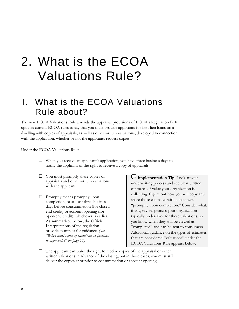## <span id="page-8-0"></span>2. What is the ECOA Valuations Rule?

#### <span id="page-8-1"></span>I. What is the ECOA Valuations Rule about?

The new ECOA Valuations Rule amends the appraisal provisions of ECOA's Regulation B. It updates current ECOA rules to say that you must provide applicants for first-lien loans on a dwelling with copies of appraisals, as well as other written valuations, developed in connection with the application, whether or not the applicants request copies.

Under the ECOA Valuations Rule:

- $\Box$  When you receive an applicant's application, you have three business days to notify the applicant of the right to receive a copy of appraisals.
- $\Box$  You must promptly share copies of appraisals and other written valuations with the applicant.
- $\Box$  Promptly means promptly upon completion, or at least three business days before consummation (for closedend credit) or account opening (for open-end credit), whichever is earlier. As summarized below, the Official Interpretations of the regulation provide examples for guidance. *(See "When must copies of valuations be provided to applicants?" on page [11\)](#page-10-0)*

**Implementation Tip:** Look at your underwriting process and see what written estimates of value your organization is collecting. Figure out how you will copy and share those estimates with consumers "promptly upon completion." Consider what, if any, review process your organization typically undertakes for these valuations, so you know when they will be viewed as "completed" and can be sent to consumers. Additional guidance on the types of estimates that are considered "valuations" under the ECOA Valuations Rule appears below.

 $\Box$  The applicant can waive the right to receive copies of the appraisal or other written valuations in advance of the closing, but in those cases, you must still deliver the copies at or prior to consummation or account opening.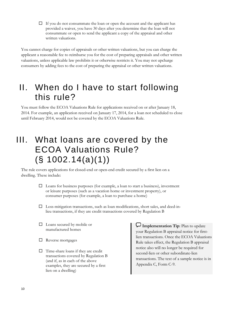$\Box$  If you do not consummate the loan or open the account and the applicant has provided a waiver, you have 30 days after you determine that the loan will not consummate or open to send the applicant a copy of the appraisal and other written valuations.

You cannot charge for copies of appraisals or other written valuations, but you can charge the applicant a reasonable fee to reimburse you for the cost of preparing appraisals and other written valuations, unless applicable law prohibits it or otherwise restricts it. You may not upcharge consumers by adding fees to the cost of preparing the appraisal or other written valuations.

#### <span id="page-9-0"></span>II. When do I have to start following this rule?

You must follow the ECOA Valuations Rule for applications received on or after January 18, 2014. For example, an application received on January 17, 2014, for a loan not scheduled to close until February 2014, would not be covered by the ECOA Valuations Rule.

#### <span id="page-9-1"></span>III. What loans are covered by the ECOA Valuations Rule?  $(S 1002.14(a)(1))$

The rule covers applications for closed-end or open-end credit secured by a first lien on a dwelling. These include:

- $\square$  Loans for business purposes (for example, a loan to start a business), investment or leisure purposes (such as a vacation home or investment property), or consumer purposes (for example, a loan to purchase a home)
- $\square$  Loss-mitigation transactions, such as loan modifications, short sales, and deed-inlieu transactions, if they are credit transactions covered by Regulation B
- $\square$  Loans secured by mobile or manufactured homes
- $\Box$  Reverse mortgages
- $\Box$  Time-share loans if they are credit transactions covered by Regulation B (and if, as in each of the above examples, they are secured by a first lien on a dwelling)

**Implementation Tip:** Plan to update your Regulation B appraisal notice for firstlien transactions. Once the ECOA Valuations Rule takes effect, the Regulation B appraisal notice also will no longer be required for second-lien or other subordinate-lien transactions. The text of a sample notice is in Appendix C, Form C-9.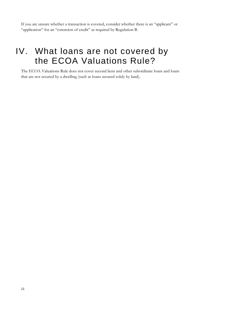If you are unsure whether a transaction is covered, consider whether there is an "applicant" or "application" for an "extension of credit" as required by Regulation B.

#### <span id="page-10-0"></span>IV. What loans are not covered by the ECOA Valuations Rule?

The ECOA Valuations Rule does not cover second liens and other subordinate loans and loans that are not secured by a dwelling (such as loans secured solely by land).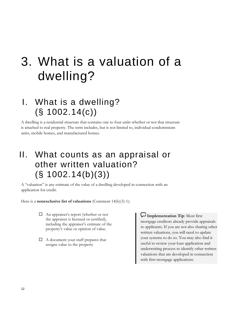## <span id="page-11-1"></span>3. What is a valuation of a dwelling?

#### <span id="page-11-2"></span>I. What is a dwelling? (§ 1002.14(c))

A dwelling is a residential structure that contains one to four units whether or not that structure is attached to real property. The term includes, but is not limited to, individual condominium units, mobile homes, and manufactured homes.

#### <span id="page-11-0"></span>II. What counts as an appraisal or other written valuation?  $(S 1002.14(b)(3))$

A "valuation" is any estimate of the value of a dwelling developed in connection with an application for credit.

Here is a **nonexclusive list of valuations** (Comment 14(b)(3)-1):

- An appraiser's report (whether or not the appraiser is licensed or certified), including the appraiser's estimate of the property's value or opinion of value.
- $\Box$  A document your staff prepares that assigns value to the property

**Implementation Tip**: Most first mortgage creditors already provide appraisals to applicants. If you are not also sharing other written valuations, you will need to update your systems to do so. You may also find it useful to review your loan application and underwriting process to identify other written valuations that are developed in connection with first mortgage applications.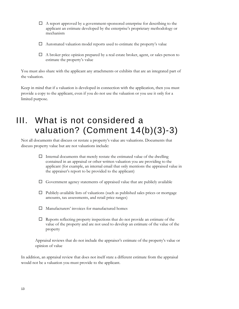- $\Box$  A report approved by a government-sponsored enterprise for describing to the applicant an estimate developed by the enterprise's proprietary methodology or mechanism
- $\Box$  Automated valuation model reports used to estimate the property's value
- $\Box$  A broker price opinion prepared by a real estate broker, agent, or sales person to estimate the property's value

You must also share with the applicant any attachments or exhibits that are an integrated part of the valuation.

Keep in mind that if a valuation is developed in connection with the application, then you must provide a copy to the applicant, even if you do not use the valuation or you use it only for a limited purpose.

### <span id="page-12-0"></span>III. What is not considered a valuation? (Comment 14(b)(3)-3)

Not all documents that discuss or restate a property's value are valuations. Documents that discuss property value but are not valuations include:

- $\Box$  Internal documents that merely restate the estimated value of the dwelling contained in an appraisal or other written valuation you are providing to the applicant (for example, an internal email that only mentions the appraised value in the appraiser's report to be provided to the applicant)
- $\Box$  Government agency statements of appraised value that are publicly available
- $\square$  Publicly-available lists of valuations (such as published sales prices or mortgage amounts, tax assessments, and retail price ranges)
- Manufacturers' invoices for manufactured homes
- $\Box$  Reports reflecting property inspections that do not provide an estimate of the value of the property and are not used to develop an estimate of the value of the property

Appraisal reviews that do not include the appraiser's estimate of the property's value or opinion of value

In addition, an appraisal review that does not itself state a different estimate from the appraisal would not be a valuation you must provide to the applicant.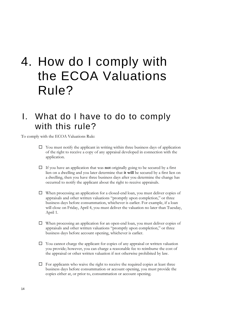### <span id="page-13-0"></span>4. How do I comply with the ECOA Valuations Rule?

#### <span id="page-13-1"></span>I. What do I have to do to comply with this rule?

To comply with the ECOA Valuations Rule:

- $\Box$  You must notify the applicant in writing within three business days of application of the right to receive a copy of any appraisal developed in connection with the application.
- $\Box$  If you have an application that was **not** originally going to be secured by a first lien on a dwelling and you later determine that **it will** be secured by a first lien on a dwelling, then you have three business days after you determine the change has occurred to notify the applicant about the right to receive appraisals.
- $\square$  When processing an application for a closed-end loan, you must deliver copies of appraisals and other written valuations "promptly upon completion," or three business days before consummation, whichever is earlier. For example, if a loan will close on Friday, April 4, you must deliver the valuation no later than Tuesday, April 1.
- $\square$  When processing an application for an open-end loan, you must deliver copies of appraisals and other written valuations "promptly upon completion," or three business days before account opening, whichever is earlier.
- $\Box$  You cannot charge the applicant for copies of any appraisal or written valuation you provide; however, you can charge a reasonable fee to reimburse the cost of the appraisal or other written valuation if not otherwise prohibited by law.
- $\Box$  For applicants who waive the right to receive the required copies at least three business days before consummation or account opening, you must provide the copies either at, or prior to, consummation or account opening.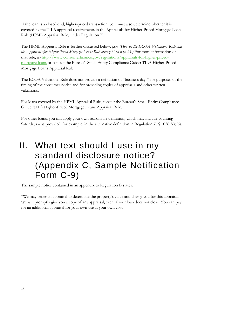If the loan is a closed-end, higher-priced transaction, you must also determine whether it is covered by the TILA appraisal requirements in the Appraisals for Higher-Priced Mortgage Loans Rule (HPML Appraisal Rule) under Regulation Z.

The HPML Appraisal Rule is further discussed below*. (See "How do the ECOA Valuations Rule and the Appraisals for Higher-Priced Mortgage Loans Rule overlap?" on page [23.\)](#page-22-1)* For more information on that rule, *see* http://www.consumerfinance.gov/regulations/appraisals-for-higher-pricedmortgage-loans or consult the Bureau's Small Entity Compliance Guide: TILA Higher-Priced Mortgage Loans Appraisal Rule.

The ECOA Valuations Rule does not provide a definition of "business days" for purposes of the timing of the consumer notice and for providing copies of appraisals and other written valuations.

For loans covered by the HPML Appraisal Rule, consult the Bureau's Small Entity Compliance Guide: TILA Higher-Priced Mortgage Loans Appraisal Rule.

For other loans, you can apply your own reasonable definition, which may include counting Saturdays – as provided, for example, in the alternative definition in Regulation Z,  $\int$  1026.2(a)(6).

#### <span id="page-14-0"></span>II. What text should I use in my standard disclosure notice? (Appendix C, Sample Notification Form C-9)

The sample notice contained in an appendix to Regulation B states:

"We may order an appraisal to determine the property's value and charge you for this appraisal. We will promptly give you a copy of any appraisal, even if your loan does not close. You can pay for an additional appraisal for your own use at your own cost."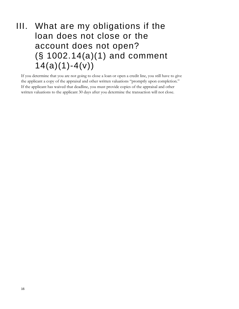#### <span id="page-15-0"></span>III. What are my obligations if the loan does not close or the account does not open? (§ 1002.14(a)(1) and comment  $14(a)(1)-4(v))$

If you determine that you are not going to close a loan or open a credit line, you still have to give the applicant a copy of the appraisal and other written valuations "promptly upon completion." If the applicant has waived that deadline, you must provide copies of the appraisal and other written valuations to the applicant 30 days after you determine the transaction will not close.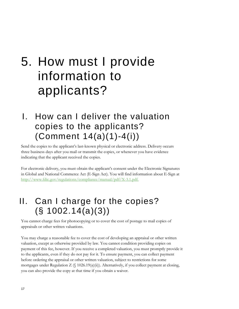## <span id="page-16-0"></span>5. How must I provide information to applicants?

#### <span id="page-16-1"></span>I. How can I deliver the valuation copies to the applicants? (Comment 14(a)(1)-4(i))

Send the copies to the applicant's last-known physical or electronic address. Delivery occurs three business days after you mail or transmit the copies, or whenever you have evidence indicating that the applicant received the copies.

For electronic delivery, you must obtain the applicant's consent under the Electronic Signatures in Global and National Commerce Act (E-Sign Act). You will find information about E-Sign at [http://www.fdic.gov/regulations/compliance/manual/pdf/X-3.1.pdf.](http://www.fdic.gov/regulations/compliance/manual/pdf/X-3.1.pdf)

### <span id="page-16-2"></span>II. Can I charge for the copies? (§ 1002.14(a)(3))

You cannot charge fees for photocopying or to cover the cost of postage to mail copies of appraisals or other written valuations.

You may charge a reasonable fee to cover the cost of developing an appraisal or other written valuation, except as otherwise provided by law. You cannot condition providing copies on payment of this fee, however. If you receive a completed valuation, you must promptly provide it to the applicants, even if they do not pay for it. To ensure payment, you can collect payment before ordering the appraisal or other written valuation, subject to restrictions for some mortgages under Regulation  $Z$  ( $\int$  1026.19(a)(ii)). Alternatively, if you collect payment at closing, you can also provide the copy at that time if you obtain a waiver.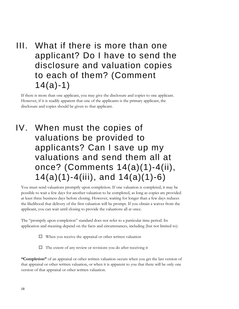#### <span id="page-17-0"></span>III. What if there is more than one applicant? Do I have to send the disclosure and valuation copies to each of them? (Comment 14(a)-1)

If there is more than one applicant, you may give the disclosure and copies to one applicant. However, if it is readily apparent that one of the applicants is the primary applicant, the disclosure and copies should be given to that applicant.

#### <span id="page-17-1"></span>IV. When must the copies of valuations be provided to applicants? Can I save up my valuations and send them all at once? (Comments 14(a)(1)-4(ii), 14(a)(1)-4(iii), and 14(a)(1)-6)

You must send valuations promptly upon completion. If one valuation is completed, it may be possible to wait a few days for another valuation to be completed, as long as copies are provided at least three business days before closing. However, waiting for longer than a few days reduces the likelihood that delivery of the first valuation will be prompt. If you obtain a waiver from the applicant, you can wait until closing to provide the valuations all at once.

The "promptly upon completion" standard does not refer to a particular time period. Its application and meaning depend on the facts and circumstances, including (but not limited to):

- $\Box$  When you receive the appraisal or other written valuation
- $\Box$  The extent of any review or revisions you do after receiving it

**"Completion"** of an appraisal or other written valuation occurs when you get the last version of that appraisal or other written valuation, or when it is apparent to you that there will be only one version of that appraisal or other written valuation.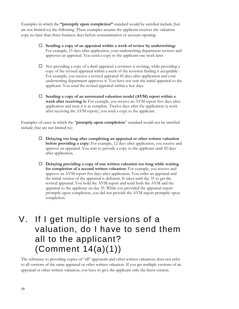Examples in which the **"promptly upon completion"** standard would be satisfied include (but are not limited to) the following. These examples assume the applicant receives the valuation copy no later than three business days before consummation or account opening:

- **Sending a copy of an appraisal within a week of review by underwriting:** For example, 15 days after application, your underwriting department reviews and approves an appraisal. You send a copy to the applicant one week later.
- $\square$  Not providing a copy of a draft appraisal a reviewer is revising, while providing a copy of the revised appraisal within a week of the reviewer finding it acceptable: For example, you receive a revised appraisal 45 days after application and your underwriting department approves it. You have not sent the initial appraisal to the applicant. You send the revised appraisal within a few days.
- **Sending a copy of an automated valuation model (AVM) report within a week after receiving it:** For example, you receive an AVM report five days after application and treat it is as complete. Twelve days after the application (a week after receiving the AVM report), you send a copy to the applicant.

Examples of cases in which the "**promptly upon completion**" standard would not be satisfied include (but are not limited to):

- **Delaying too long after completing an appraisal or other written valuation before providing a copy:** For example, 12 days after application, you receive and approve an appraisal. You wait to provide a copy to the applicant until 42 days after application.
- **Delaying providing a copy of one written valuation too long while waiting for completion of a second written valuation:** For example, you receive and approve an AVM report five days after application. You order an appraisal and the initial version of the appraisal is deficient. It takes until day 35 to get the revised appraisal. You hold the AVM report and send both the AVM and the appraisal to the applicant on day 35. While you provided the appraisal report promptly upon completion, you did not provide the AVM report promptly upon completion.

#### <span id="page-18-0"></span>V. If I get multiple versions of a valuation, do I have to send them all to the applicant? (Comment 14(a)(1))

The reference to providing copies of "all" appraisals and other written valuations does not refer to all versions of the same appraisal or other written valuation. If you get multiple versions of an appraisal or other written valuation, you have to give the applicant only the latest version.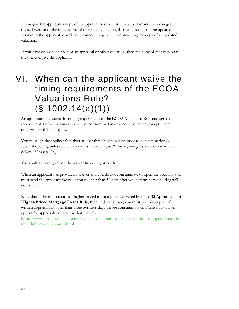If you give the applicant a copy of an appraisal or other written valuation and then you get a revised version of the same appraisal or written valuation, then you must send the updated version to the applicant as well. You cannot charge a fee for providing the copy of an updated valuation.

If you have only one version of an appraisal or other valuation, then the copy of that version is the one you give the applicant.

### <span id="page-19-0"></span>VI. When can the applicant waive the timing requirements of the ECOA Valuations Rule?  $(S 1002.14(a)(1))$

An applicant may waive the timing requirement of the ECOA Valuations Rule and agree to receive copies of valuations at or before consummation or account opening, except where otherwise prohibited by law.

You must get the applicant's waiver at least three business days prior to consummation or account opening unless a clerical error is involved. *(See "What happens if there is a clerical error in a valuation?" on page [21.](#page-20-2))*

The applicant can give you the waiver in writing or orally.

When an applicant has provided a waiver and you do not consummate or open the account, you must send the applicant the valuation no later than 30 days after you determine the closing will not occur.

Note that if the transaction is a higher-priced mortgage loan covered by the **2013 Appraisals for Higher-Priced Mortgage Loans Rule**, then under that rule, you must provide copies of written appraisals no later than three business days before consummation. There is no waiver option for appraisals covered by that rule. *See* 

http://www.consumerfinance.gov/regulations/appraisals-for-higher-priced-mortgage-loans/for more information about this rule.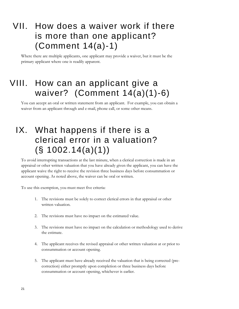#### <span id="page-20-0"></span>VII. How does a waiver work if there is more than one applicant? (Comment 14(a)-1)

Where there are multiple applicants, one applicant may provide a waiver, but it must be the primary applicant where one is readily apparent.

#### <span id="page-20-1"></span>VIII. How can an applicant give a waiver? (Comment 14(a)(1)-6)

You can accept an oral or written statement from an applicant. For example, you can obtain a waiver from an applicant through and e-mail, phone call, or some other means.

### <span id="page-20-2"></span>IX. What happens if there is a clerical error in a valuation?  $(S 1002.14(a)(1))$

To avoid interrupting transactions at the last minute, when a clerical correction is made in an appraisal or other written valuation that you have already given the applicant, you can have the applicant waive the right to receive the revision three business days before consummation or account opening. As noted above, the waiver can be oral or written.

To use this exemption, you must meet five criteria:

- 1. The revisions must be solely to correct clerical errors in that appraisal or other written valuation.
- 2. The revisions must have no impact on the estimated value.
- 3. The revisions must have no impact on the calculation or methodology used to derive the estimate.
- 4. The applicant receives the revised appraisal or other written valuation at or prior to consummation or account opening.
- 5. The applicant must have already received the valuation that is being corrected (precorrection) either promptly upon completion or three business days before consummation or account opening, whichever is earlier.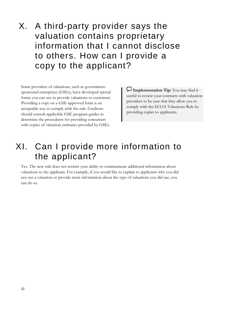#### <span id="page-21-0"></span>X. A third-party provider says the valuation contains proprietary information that I cannot disclose to others. How can I provide a copy to the applicant?

Some providers of valuations, such as governmentsponsored enterprises (GSEs), have developed special forms you can use to provide valuations to customers. Providing a copy on a GSE-approved form is an acceptable way to comply with the rule. Creditors should consult applicable GSE program guides to determine the procedures for providing consumers with copies of valuation estimates provided by GSEs.

**Implementation Tip:** You may find it useful to review your contracts with valuation providers to be sure that they allow you to comply with the ECOA Valuations Rule by providing copies to applicants.

#### <span id="page-21-1"></span>XI. Can I provide more information to the applicant?

Yes. The new rule does not restrict your ability to communicate additional information about valuations to the applicant. For example, if you would like to explain to applicants why you did not use a valuation or provide more information about the type of valuations you did use, you can do so.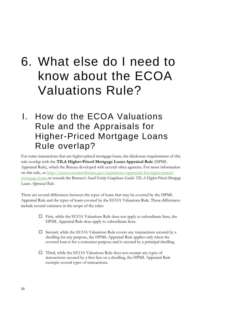## <span id="page-22-0"></span>6. What else do I need to know about the ECOA Valuations Rule?

#### <span id="page-22-1"></span>I. How do the ECOA Valuations Rule and the Appraisals for Higher-Priced Mortgage Loans Rule overlap?

For some transactions that are higher-priced mortgage loans, the disclosure requirements of this rule overlap with the **TILA Higher-Priced Mortgage Loans Appraisal Rule** (HPML Appraisal Rule), which the Bureau developed with several other agencies. For more information on this rule, *see* http://www.consumerfinance.gov/regulations/appraisals-for-higher-pricedmortgage-loans or consult the Bureau's *Small Entity Compliance Guide: TILA Higher-Priced Mortgage Loans Appraisal Rule*.

There are several differences between the types of loans that may be covered by the HPML Appraisal Rule and the types of loans covered by the ECOA Valuations Rule. These differences include several variances in the scope of the rules:

- $\Box$  First, while the ECOA Valuations Rule does not apply to subordinate liens, the HPML Appraisal Rule does apply to subordinate liens.
- $\square$  Second, while the ECOA Valuations Rule covers any transactions secured by a dwelling for any purpose, the HPML Appraisal Rule applies only when the covered loan is for a consumer purpose and is secured by a principal dwelling.
- $\Box$  Third, while the ECOA Valuations Rule does not exempt any types of transactions secured by a first lien on a dwelling, the HPML Appraisal Rule exempts several types of transactions.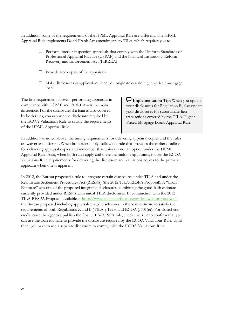In addition, some of the requirements of the HPML Appraisal Rule are different. The HPML Appraisal Rule implements Dodd-Frank Act amendments to TILA, which requires you to:

- $\Box$  Perform interior-inspection appraisals that comply with the Uniform Standards of Professional Appraisal Practice (USPAP) and the Financial Institutions Reform Recovery and Enforcement Act (FIRREA)
- $\Box$  Provide free copies of the appraisals
- $\Box$  Make disclosures at application when you originate certain higher-priced mortgage loans

The first requirement above – performing appraisals in compliance with USPAP and FIRREA – is the main difference. For the disclosure, if a loan is also covered by both rules, you can use the disclosure required by the ECOA Valuations Rule to satisfy the requirements of the HPML Appraisal Rule.

**Implementation Tip:** When you update your disclosures for Regulation B, also update your disclosures for subordinate-lien transactions covered by the TILA Higher-Priced Mortgage Loans Appraisal Rule.

In addition, as noted above, the timing requirements for delivering appraisal copies and the rules on waiver are different. When both rules apply, follow the rule that provides the earlier deadline for delivering appraisal copies and remember that waiver is not an option under the HPML Appraisal Rule. Also, when both rules apply and there are multiple applicants, follow the ECOA Valuations Rule requirements for delivering the disclosure and valuations copies to the primary applicant when one is apparent.

In 2012, the Bureau proposed a rule to integrate certain disclosures under TILA and under the Real Estate Settlement Procedures Act (RESPA) (the 2012 TILA-RESPA Proposal). A "Loan Estimate" was one of the proposed integrated disclosures, combining the good-faith estimate currently provided under RESPA with initial TILA disclosures. In conjunction with the 2012 TILA-RESPA Proposal, available at [http://www.consumerfinance.gov/knowbeforeyouowe/,](http://www.consumerfinance.gov/knowbeforeyouowe/) the Bureau proposed including appraisal-related disclosures in the loan estimate to satisfy the requirements of both Regulations Z and B (TILA  $\S$  129H and ECOA  $\S$  701(e)). For closed-end credit, once the agencies publish the final TILA-RESPA rule, check that rule to confirm that you can use the loan estimate to provide the disclosure required by the ECOA Valuations Rule. Until then, you have to use a separate disclosure to comply with the ECOA Valuations Rule.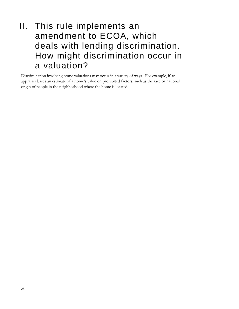#### <span id="page-24-0"></span>II. This rule implements an amendment to ECOA, which deals with lending discrimination. How might discrimination occur in a valuation?

Discrimination involving home valuations may occur in a variety of ways. For example, if an appraiser bases an estimate of a home's value on prohibited factors, such as the race or national origin of people in the neighborhood where the home is located.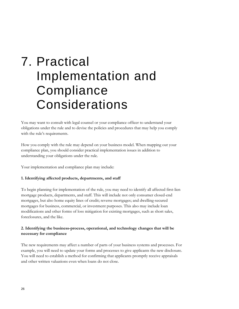## <span id="page-25-0"></span>7. Practical Implementation and **Compliance** Considerations

You may want to consult with legal counsel or your compliance officer to understand your obligations under the rule and to devise the policies and procedures that may help you comply with the rule's requirements.

How you comply with the rule may depend on your business model. When mapping out your compliance plan, you should consider practical implementation issues in addition to understanding your obligations under the rule.

Your implementation and compliance plan may include:

#### **1. Identifying affected products, departments, and staff**

To begin planning for implementation of the rule, you may need to identify all affected first-lien mortgage products, departments, and staff. This will include not only consumer closed-end mortgages, but also home equity lines of credit; reverse mortgages; and dwelling-secured mortgages for business, commercial, or investment purposes. This also may include loan modifications and other forms of loss mitigation for existing mortgages, such as short sales, foreclosures, and the like.

#### **2. Identifying the business-process, operational, and technology changes that will be necessary for compliance**

The new requirements may affect a number of parts of your business systems and processes. For example, you will need to update your forms and processes to give applicants the new disclosure. You will need to establish a method for confirming that applicants promptly receive appraisals and other written valuations even when loans do not close.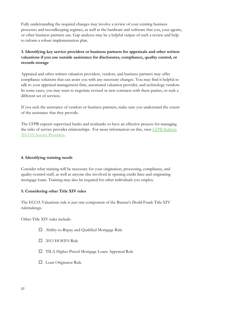Fully understanding the required changes may involve a review of your existing business processes and recordkeeping regimes, as well as the hardware and software that you, your agents, or other business partners use. Gap analyses may be a helpful output of such a review and help to inform a robust implementation plan.

#### **3. Identifying key service providers or business partners for appraisals and other written valuations if you use outside assistance for disclosures, compliance, quality control, or records storage**

Appraisal and other written valuation providers, vendors, and business partners may offer compliance solutions that can assist you with any necessary changes. You may find it helpful to talk to your appraisal management firm, automated valuation provider, and technology vendors. In some cases, you may want to negotiate revised or new contracts with these parties, or seek a different set of services.

If you seek the assistance of vendors or business partners, make sure you understand the extent of the assistance that they provide.

The CFPB expects supervised banks and nonbanks to have an effective process for managing the risks of service provider relationships. For more information on this, vie[w CFPB Bulletin](http://files.consumerfinance.gov/f/201204_cfpb_bulletin_service-providers.pdf)  [2012-03 Service Providers.](http://files.consumerfinance.gov/f/201204_cfpb_bulletin_service-providers.pdf)

#### **4. Identifying training needs**

Consider what training will be necessary for your origination, processing, compliance, and quality-control staff, as well as anyone else involved in opening credit lines and originating mortgage loans. Training may also be required for other individuals you employ.

#### **5. Considering other Title XIV rules**

The ECOA Valuations rule is just one component of the Bureau's Dodd-Frank Title XIV rulemakings.

Other Title XIV rules include:

- Ability-to-Repay and Qualified Mortgage Rule
- □ 2013 HOEPA Rule
- TILA Higher-Priced Mortgage Loans Appraisal Rule
- □ Loan Originator Rule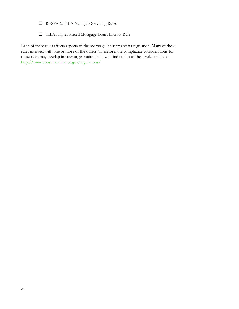RESPA & TILA Mortgage Servicing Rules

TILA Higher-Priced Mortgage Loans Escrow Rule

Each of these rules affects aspects of the mortgage industry and its regulation. Many of these rules intersect with one or more of the others. Therefore, the compliance considerations for these rules may overlap in your organization. You will find copies of these rules online at [http://www.consumerfinance.gov/regulations/.](http://www.consumerfinance.gov/regulations/)